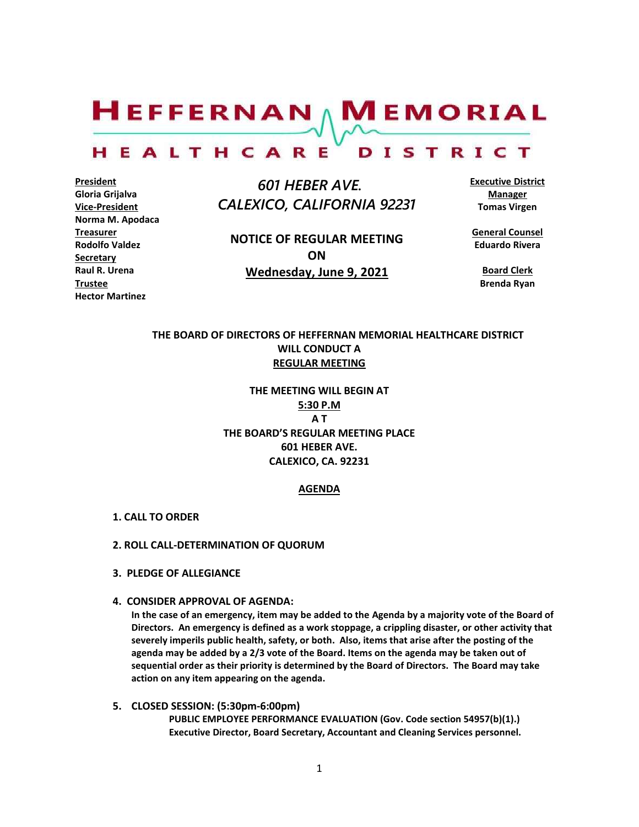$H$ EFFERNAN  $\wedge$  M EMORIAL

#### HEALTHCARE DISTRICT

**President Gloria Grijalva Vice-President Norma M. Apodaca Treasurer Rodolfo Valdez Secretary Raul R. Urena Trustee Hector Martinez**

 *601 HEBER AVE. CALEXICO, CALIFORNIA 92231*

**NOTICE OF REGULAR MEETING ON Wednesday, June 9, 2021**

**Executive District Manager Tomas Virgen**

**General Counsel Eduardo Rivera**

**Board Clerk Brenda Ryan**

# **THE BOARD OF DIRECTORS OF HEFFERNAN MEMORIAL HEALTHCARE DISTRICT WILL CONDUCT A REGULAR MEETING**

**THE MEETING WILL BEGIN AT 5:30 P.M A T THE BOARD'S REGULAR MEETING PLACE 601 HEBER AVE. CALEXICO, CA. 92231**

# **AGENDA**

- **1. CALL TO ORDER**
- **2. ROLL CALL-DETERMINATION OF QUORUM**
- **3. PLEDGE OF ALLEGIANCE**
- **4. CONSIDER APPROVAL OF AGENDA:**

**In the case of an emergency, item may be added to the Agenda by a majority vote of the Board of Directors. An emergency is defined as a work stoppage, a crippling disaster, or other activity that severely imperils public health, safety, or both. Also, items that arise after the posting of the agenda may be added by a 2/3 vote of the Board. Items on the agenda may be taken out of sequential order as their priority is determined by the Board of Directors. The Board may take action on any item appearing on the agenda.**

**5. CLOSED SESSION: (5:30pm-6:00pm) PUBLIC EMPLOYEE PERFORMANCE EVALUATION (Gov. Code section 54957(b)(1).) Executive Director, Board Secretary, Accountant and Cleaning Services personnel.**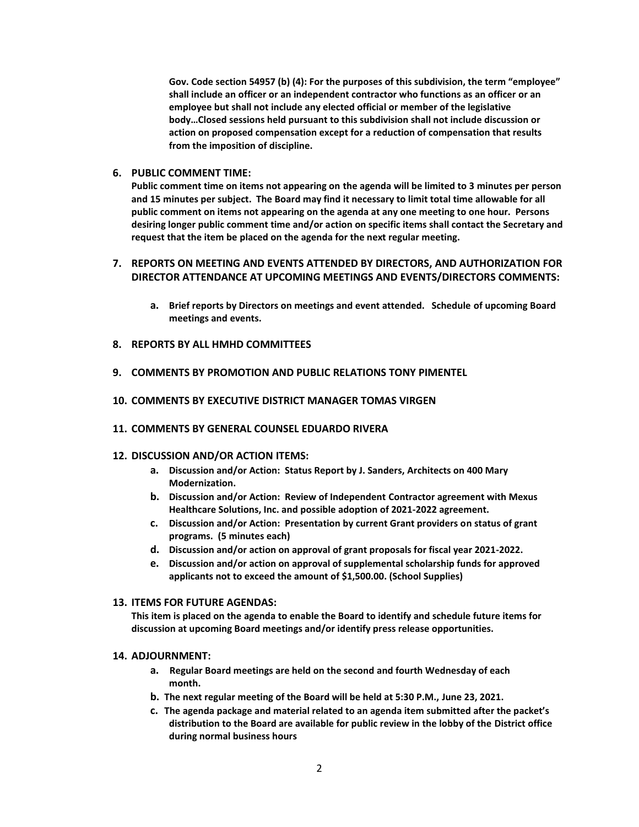**Gov. Code section 54957 (b) (4): For the purposes of this subdivision, the term "employee" shall include an officer or an independent contractor who functions as an officer or an employee but shall not include any elected official or member of the legislative body…Closed sessions held pursuant to this subdivision shall not include discussion or action on proposed compensation except for a reduction of compensation that results from the imposition of discipline.**

## **6. PUBLIC COMMENT TIME:**

**Public comment time on items not appearing on the agenda will be limited to 3 minutes per person and 15 minutes per subject. The Board may find it necessary to limit total time allowable for all public comment on items not appearing on the agenda at any one meeting to one hour. Persons desiring longer public comment time and/or action on specific items shall contact the Secretary and request that the item be placed on the agenda for the next regular meeting.**

# **7. REPORTS ON MEETING AND EVENTS ATTENDED BY DIRECTORS, AND AUTHORIZATION FOR DIRECTOR ATTENDANCE AT UPCOMING MEETINGS AND EVENTS/DIRECTORS COMMENTS:**

- **a. Brief reports by Directors on meetings and event attended. Schedule of upcoming Board meetings and events.**
- **8. REPORTS BY ALL HMHD COMMITTEES**
- **9. COMMENTS BY PROMOTION AND PUBLIC RELATIONS TONY PIMENTEL**

### **10. COMMENTS BY EXECUTIVE DISTRICT MANAGER TOMAS VIRGEN**

**11. COMMENTS BY GENERAL COUNSEL EDUARDO RIVERA**

#### **12. DISCUSSION AND/OR ACTION ITEMS:**

- **a. Discussion and/or Action: Status Report by J. Sanders, Architects on 400 Mary Modernization.**
- **b. Discussion and/or Action: Review of Independent Contractor agreement with Mexus Healthcare Solutions, Inc. and possible adoption of 2021-2022 agreement.**
- **c. Discussion and/or Action: Presentation by current Grant providers on status of grant programs. (5 minutes each)**
- **d. Discussion and/or action on approval of grant proposals for fiscal year 2021-2022.**
- **e. Discussion and/or action on approval of supplemental scholarship funds for approved applicants not to exceed the amount of \$1,500.00. (School Supplies)**

## **13. ITEMS FOR FUTURE AGENDAS:**

**This item is placed on the agenda to enable the Board to identify and schedule future items for discussion at upcoming Board meetings and/or identify press release opportunities.**

#### **14. ADJOURNMENT:**

- **a. Regular Board meetings are held on the second and fourth Wednesday of each month.**
- **b. The next regular meeting of the Board will be held at 5:30 P.M., June 23, 2021.**
- **c. The agenda package and material related to an agenda item submitted after the packet's distribution to the Board are available for public review in the lobby of the District office during normal business hours**